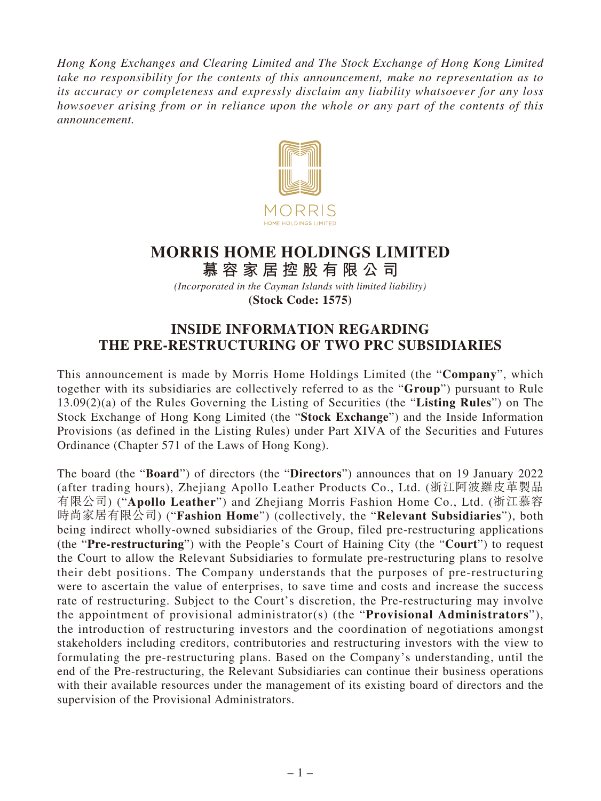*Hong Kong Exchanges and Clearing Limited and The Stock Exchange of Hong Kong Limited take no responsibility for the contents of this announcement, make no representation as to its accuracy or completeness and expressly disclaim any liability whatsoever for any loss howsoever arising from or in reliance upon the whole or any part of the contents of this announcement.*



# **MORRIS HOME HOLDINGS LIMITED**

**慕容家居控股有限公司** *(Incorporated in the Cayman Islands with limited liability)* **(Stock Code: 1575)**

# **INSIDE INFORMATION REGARDING THE PRE-RESTRUCTURING OF TWO PRC SUBSIDIARIES**

This announcement is made by Morris Home Holdings Limited (the "**Company**", which together with its subsidiaries are collectively referred to as the "**Group**") pursuant to Rule 13.09(2)(a) of the Rules Governing the Listing of Securities (the "**Listing Rules**") on The Stock Exchange of Hong Kong Limited (the "**Stock Exchange**") and the Inside Information Provisions (as defined in the Listing Rules) under Part XIVA of the Securities and Futures Ordinance (Chapter 571 of the Laws of Hong Kong).

The board (the "**Board**") of directors (the "**Directors**") announces that on 19 January 2022 (after trading hours), Zhejiang Apollo Leather Products Co., Ltd. (浙江阿波羅皮革製品 有限公司) ("**Apollo Leather**") and Zhejiang Morris Fashion Home Co., Ltd. (浙江慕容 時尚家居有限公司) ("**Fashion Home**") (collectively, the "**Relevant Subsidiaries**"), both being indirect wholly-owned subsidiaries of the Group, filed pre-restructuring applications (the "**Pre-restructuring**") with the People's Court of Haining City (the "**Court**") to request the Court to allow the Relevant Subsidiaries to formulate pre-restructuring plans to resolve their debt positions. The Company understands that the purposes of pre-restructuring were to ascertain the value of enterprises, to save time and costs and increase the success rate of restructuring. Subject to the Court's discretion, the Pre-restructuring may involve the appointment of provisional administrator(s) (the "**Provisional Administrators**"), the introduction of restructuring investors and the coordination of negotiations amongst stakeholders including creditors, contributories and restructuring investors with the view to formulating the pre-restructuring plans. Based on the Company's understanding, until the end of the Pre-restructuring, the Relevant Subsidiaries can continue their business operations with their available resources under the management of its existing board of directors and the supervision of the Provisional Administrators.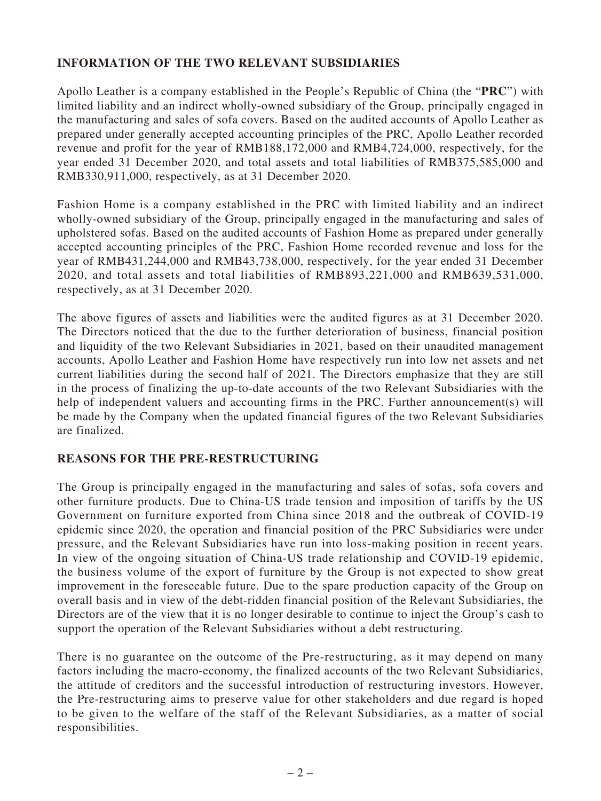# **INFORMATION OF THE TWO RELEVANT SUBSIDIARIES**

Apollo Leather is a company established in the People's Republic of China (the "**PRC**") with limited liability and an indirect wholly-owned subsidiary of the Group, principally engaged in the manufacturing and sales of sofa covers. Based on the audited accounts of Apollo Leather as prepared under generally accepted accounting principles of the PRC, Apollo Leather recorded revenue and profit for the year of RMB188,172,000 and RMB4,724,000, respectively, for the year ended 31 December 2020, and total assets and total liabilities of RMB375,585,000 and RMB330,911,000, respectively, as at 31 December 2020.

Fashion Home is a company established in the PRC with limited liability and an indirect wholly-owned subsidiary of the Group, principally engaged in the manufacturing and sales of upholstered sofas. Based on the audited accounts of Fashion Home as prepared under generally accepted accounting principles of the PRC, Fashion Home recorded revenue and loss for the year of RMB431,244,000 and RMB43,738,000, respectively, for the year ended 31 December 2020, and total assets and total liabilities of RMB893,221,000 and RMB639,531,000, respectively, as at 31 December 2020.

The above figures of assets and liabilities were the audited figures as at 31 December 2020. The Directors noticed that the due to the further deterioration of business, financial position and liquidity of the two Relevant Subsidiaries in 2021, based on their unaudited management accounts, Apollo Leather and Fashion Home have respectively run into low net assets and net current liabilities during the second half of 2021. The Directors emphasize that they are still in the process of finalizing the up-to-date accounts of the two Relevant Subsidiaries with the help of independent valuers and accounting firms in the PRC. Further announcement(s) will be made by the Company when the updated financial figures of the two Relevant Subsidiaries are finalized.

#### **REASONS FOR THE PRE-RESTRUCTURING**

The Group is principally engaged in the manufacturing and sales of sofas, sofa covers and other furniture products. Due to China-US trade tension and imposition of tariffs by the US Government on furniture exported from China since 2018 and the outbreak of COVID-19 epidemic since 2020, the operation and financial position of the PRC Subsidiaries were under pressure, and the Relevant Subsidiaries have run into loss-making position in recent years. In view of the ongoing situation of China-US trade relationship and COVID-19 epidemic, the business volume of the export of furniture by the Group is not expected to show great improvement in the foreseeable future. Due to the spare production capacity of the Group on overall basis and in view of the debt-ridden financial position of the Relevant Subsidiaries, the Directors are of the view that it is no longer desirable to continue to inject the Group's cash to support the operation of the Relevant Subsidiaries without a debt restructuring.

There is no guarantee on the outcome of the Pre-restructuring, as it may depend on many factors including the macro-economy, the finalized accounts of the two Relevant Subsidiaries, the attitude of creditors and the successful introduction of restructuring investors. However, the Pre-restructuring aims to preserve value for other stakeholders and due regard is hoped to be given to the welfare of the staff of the Relevant Subsidiaries, as a matter of social responsibilities.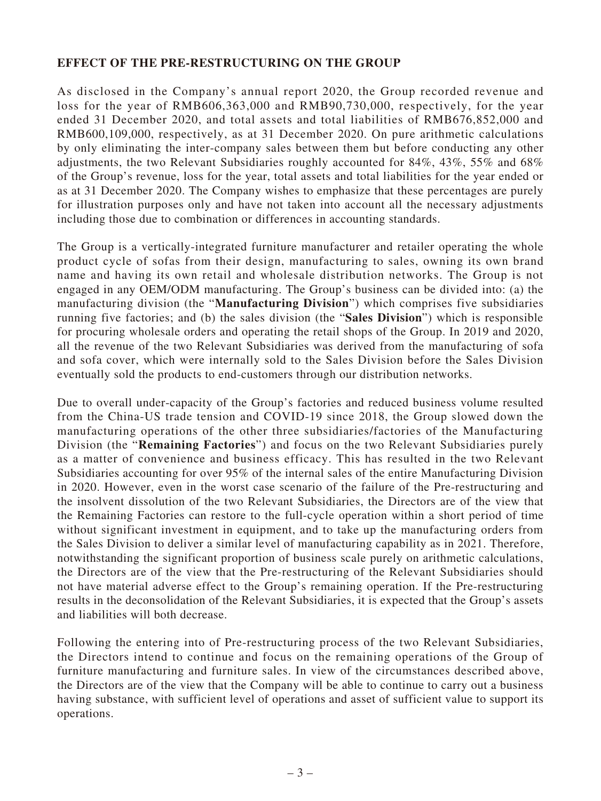# **EFFECT OF THE PRE-RESTRUCTURING ON THE GROUP**

As disclosed in the Company's annual report 2020, the Group recorded revenue and loss for the year of RMB606,363,000 and RMB90,730,000, respectively, for the year ended 31 December 2020, and total assets and total liabilities of RMB676,852,000 and RMB600,109,000, respectively, as at 31 December 2020. On pure arithmetic calculations by only eliminating the inter-company sales between them but before conducting any other adjustments, the two Relevant Subsidiaries roughly accounted for 84%, 43%, 55% and 68% of the Group's revenue, loss for the year, total assets and total liabilities for the year ended or as at 31 December 2020. The Company wishes to emphasize that these percentages are purely for illustration purposes only and have not taken into account all the necessary adjustments including those due to combination or differences in accounting standards.

The Group is a vertically-integrated furniture manufacturer and retailer operating the whole product cycle of sofas from their design, manufacturing to sales, owning its own brand name and having its own retail and wholesale distribution networks. The Group is not engaged in any OEM/ODM manufacturing. The Group's business can be divided into: (a) the manufacturing division (the "**Manufacturing Division**") which comprises five subsidiaries running five factories; and (b) the sales division (the "**Sales Division**") which is responsible for procuring wholesale orders and operating the retail shops of the Group. In 2019 and 2020, all the revenue of the two Relevant Subsidiaries was derived from the manufacturing of sofa and sofa cover, which were internally sold to the Sales Division before the Sales Division eventually sold the products to end-customers through our distribution networks.

Due to overall under-capacity of the Group's factories and reduced business volume resulted from the China-US trade tension and COVID-19 since 2018, the Group slowed down the manufacturing operations of the other three subsidiaries/factories of the Manufacturing Division (the "**Remaining Factories**") and focus on the two Relevant Subsidiaries purely as a matter of convenience and business efficacy. This has resulted in the two Relevant Subsidiaries accounting for over 95% of the internal sales of the entire Manufacturing Division in 2020. However, even in the worst case scenario of the failure of the Pre-restructuring and the insolvent dissolution of the two Relevant Subsidiaries, the Directors are of the view that the Remaining Factories can restore to the full-cycle operation within a short period of time without significant investment in equipment, and to take up the manufacturing orders from the Sales Division to deliver a similar level of manufacturing capability as in 2021. Therefore, notwithstanding the significant proportion of business scale purely on arithmetic calculations, the Directors are of the view that the Pre-restructuring of the Relevant Subsidiaries should not have material adverse effect to the Group's remaining operation. If the Pre-restructuring results in the deconsolidation of the Relevant Subsidiaries, it is expected that the Group's assets and liabilities will both decrease.

Following the entering into of Pre-restructuring process of the two Relevant Subsidiaries, the Directors intend to continue and focus on the remaining operations of the Group of furniture manufacturing and furniture sales. In view of the circumstances described above, the Directors are of the view that the Company will be able to continue to carry out a business having substance, with sufficient level of operations and asset of sufficient value to support its operations.